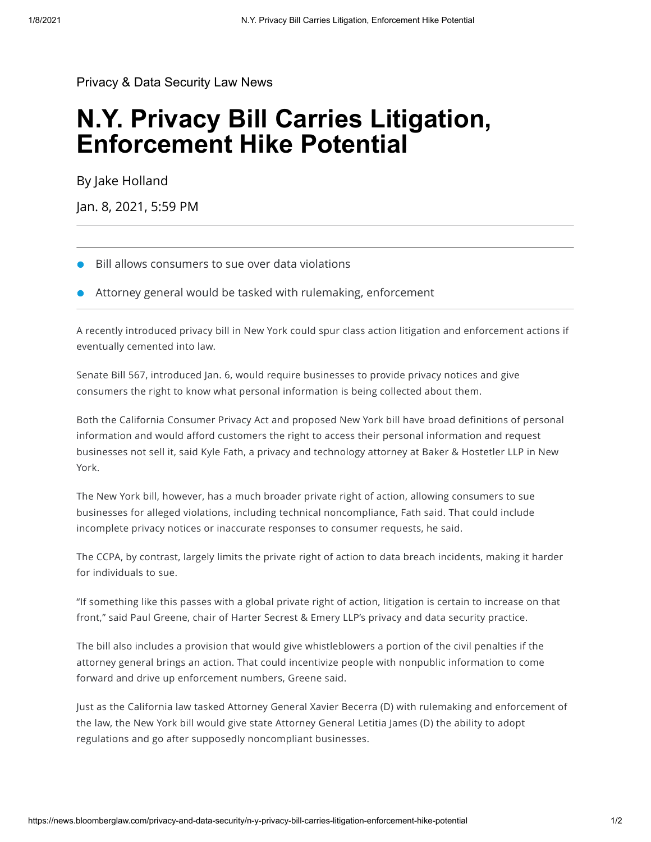[Privacy & Data Security Law News](https://news.bloomberglaw.com/privacy-and-data-security/)

## **N.Y. Privacy Bill Carries Litigation, Enforcement Hike Potential**

By [Jake Holland](mailto:jholland@bloombergindustry.com)

Jan. 8, 2021, 5:59 PM

- Bill allows consumers to sue over data violations
- Attorney general would be tasked with rulemaking, enforcement

A recently introduced privacy bill in New York could spur class action litigation and enforcement actions if eventually cemented into law.

Senate Bill 567, introduced Jan. 6, would [require](https://aboutblaw.com/UZs) businesses to provide privacy notices and give consumers the right to know what personal information is being collected about them.

Both the California Consumer Privacy Act and proposed New York bill have broad definitions of personal information and would afford customers the right to access their personal information and request businesses not sell it, said Kyle Fath, a privacy and technology attorney at Baker & Hostetler LLP in New York.

The New York bill, however, has a much broader private right of action, allowing consumers to sue businesses for alleged violations, including technical noncompliance, Fath said. That could include incomplete privacy notices or inaccurate responses to consumer requests, he said.

The CCPA, by contrast, largely limits the private right of action to data breach incidents, making it harder for individuals to sue.

"If something like this passes with a global private right of action, litigation is certain to increase on that front," said Paul Greene, chair of Harter Secrest & Emery LLP's privacy and data security practice.

The bill also includes a provision that would give whistleblowers a portion of the civil penalties if the attorney general brings an action. That could incentivize people with nonpublic information to come forward and drive up enforcement numbers, Greene said.

Just as the California law tasked Attorney General Xavier Becerra (D) with rulemaking and enforcement of the law, the New York bill would give state Attorney General Letitia James (D) the ability to adopt regulations and go after supposedly noncompliant businesses.